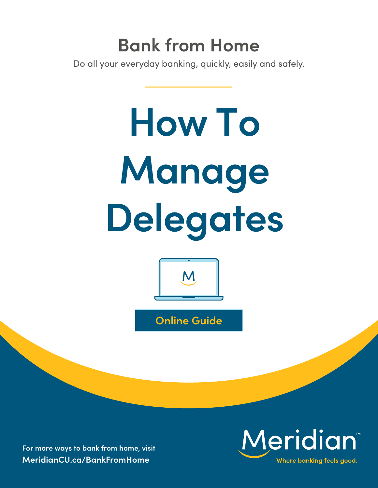## **Bank from Home**

Do all your everyday banking, quickly, easily and safely.

# **How To Manage Delegates**



**Online Guide**

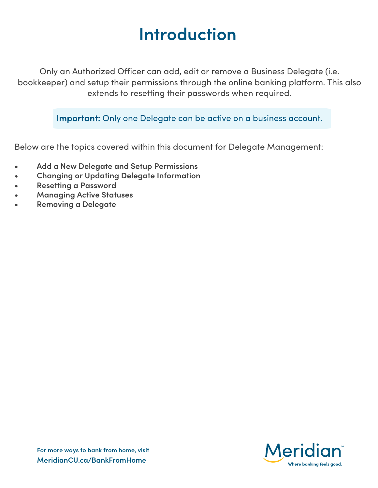### **Introduction**

Only an Authorized Officer can add, edit or remove a Business Delegate (i.e. bookkeeper) and setup their permissions through the online banking platform. This also extends to resetting their passwords when required.

Important: Only one Delegate can be active on a business account.

Below are the topics covered within this document for Delegate Management:

- **• Add a New Delegate and Setup Permissions**
- **• Changing or Updating Delegate Information**
- **• Resetting a Password**
- **• Managing Active Statuses**
- **• Removing a Delegate**

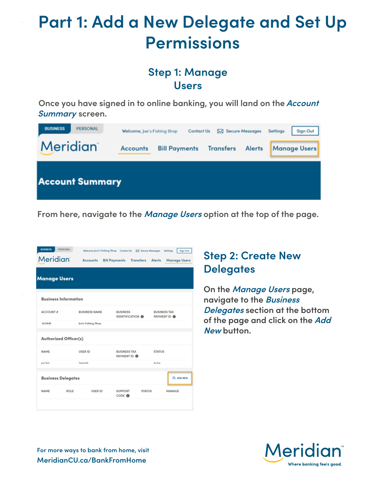### **Part 1: Add a New Delegate and Set Up Permissions**

#### **Step 1: Manage Users**

**Once you have signed in to online banking, you will land on the Account Summary screen.**



**From here, navigate to the Manage Users option at the top of the page.**

| PERSONAL<br><b>BUSINESS</b><br><b>Meridian</b> | <b>Accounts</b>      | Welcome, Joe's Fishing Shop Contact Us [52] Secure Messages<br><b>Bill Payments</b><br><b>Transfers</b> Alerts | Sign Out<br>Settings<br><b>Manage Users</b> |
|------------------------------------------------|----------------------|----------------------------------------------------------------------------------------------------------------|---------------------------------------------|
| <b>Manage Users</b>                            |                      |                                                                                                                |                                             |
| <b>Business Information</b>                    |                      |                                                                                                                |                                             |
| <b>ACCOUNT #</b>                               | <b>BUSINESS NAME</b> | <b>BUSINESS</b><br><b>IDENTIFICATION ®</b>                                                                     | <b>BUSINESS TAX</b><br>PAYMENT ID <b>O</b>  |
| 1233618                                        | Joe's Fishing Shop   |                                                                                                                |                                             |
| <b>Authorized Officer(s)</b>                   |                      |                                                                                                                |                                             |
| <b>NAME</b>                                    | <b>USER ID</b>       | <b>BUSINESS TAX</b><br>PAYMENT ID <b>O</b>                                                                     | <b>STATUS</b>                               |
| Joe Test                                       | Tester99             |                                                                                                                | Active                                      |
| <b>Business Delegates</b>                      |                      |                                                                                                                | <b>SR. ADD NEW</b>                          |
| <b>NAME</b><br><b>ROLE</b>                     | <b>USER ID</b>       | <b>SUPPORT</b><br><b>STATUS</b><br>CODE O                                                                      | <b>MANAGE</b>                               |
|                                                |                      |                                                                                                                |                                             |

### **Step 2: Create New Delegates**

**On the Manage Users page, navigate to the Business Delegates section at the bottom of the page and click on the Add New button.**

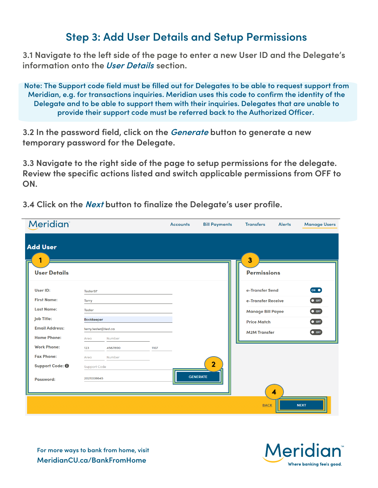#### **Step 3: Add User Details and Setup Permissions**

**3.1 Navigate to the left side of the page to enter a new User ID and the Delegate's information onto the User Details section.**

**Note: The Support code field must be filled out for Delegates to be able to request support from Meridian, e.g. for transactions inquiries. Meridian uses this code to confirm the identity of the Delegate and to be able to support them with their inquiries. Delegates that are unable to provide their support code must be referred back to the Authorized Officer.**

**3.2 In the password field, click on the Generate button to generate a new temporary password for the Delegate.**

**3.3 Navigate to the right side of the page to setup permissions for the delegate. Review the specific actions listed and switch applicable permissions from OFF to ON.**

**3.4 Click on the Next button to finalize the Delegate's user profile.**

| <b>Meridian</b>       |                     |                      |      | <b>Accounts</b> | <b>Bill Payments</b> | <b>Transfers</b>         | <b>Alerts</b>           | <b>Manage Users</b> |
|-----------------------|---------------------|----------------------|------|-----------------|----------------------|--------------------------|-------------------------|---------------------|
| <b>Add User</b><br>1  |                     |                      |      |                 |                      | $\overline{\mathbf{3}}$  |                         |                     |
| <b>User Details</b>   |                     |                      |      |                 |                      | <b>Permissions</b>       |                         |                     |
| User ID:              | Tester97            |                      |      |                 |                      | e-Transfer Send          |                         | ON O                |
| <b>First Name:</b>    | <b>Terry</b>        |                      |      |                 |                      | e-Transfer Receive       |                         | $\bullet$ OFF       |
| <b>Last Name:</b>     | <b>Tester</b>       |                      |      |                 |                      | <b>Manage Bill Payee</b> |                         | $\bullet$ OFF       |
| Job Title:            | <b>Bookkeeper</b>   |                      |      |                 |                      | <b>Price Match</b>       |                         | $\bullet$ OFF       |
| <b>Email Address:</b> |                     | terry.tester@test.ca |      |                 |                      | <b>M2M Transfer</b>      |                         | $\bullet$ OFF       |
| <b>Home Phone:</b>    | Area                | Number               |      |                 |                      |                          |                         |                     |
| <b>Work Phone:</b>    | 123                 | 4567890              | 1107 |                 |                      |                          |                         |                     |
| <b>Fax Phone:</b>     | Area                | Number               |      |                 |                      |                          |                         |                     |
| Support Code: 0       | <b>Support Code</b> |                      |      |                 | $\overline{2}$       |                          |                         |                     |
| Password:             | 2021008645          |                      |      |                 | <b>GENERATE</b>      |                          | $\overline{\mathbf{4}}$ |                     |
|                       |                     |                      |      |                 |                      | <b>BACK</b>              |                         | <b>NEXT</b>         |



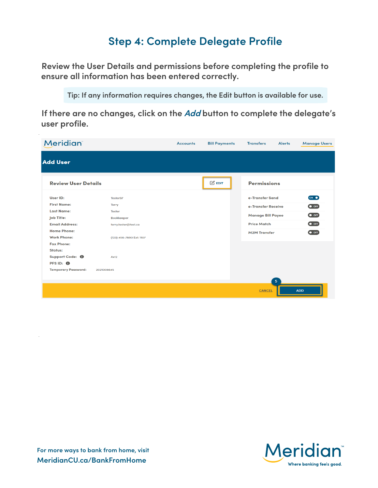### **Step 4: Complete Delegate Profile**

**Review the User Details and permissions before completing the profile to ensure all information has been entered correctly.**

**Tip: If any information requires changes, the Edit button is available for use.**

**If there are no changes, click on the Add button to complete the delegate's user profile.**

| <b>Meridian</b>                          |                          | <b>Accounts</b> | <b>Bill Payments</b> | <b>Transfers</b>         | <b>Alerts</b>  | <b>Manage Users</b> |
|------------------------------------------|--------------------------|-----------------|----------------------|--------------------------|----------------|---------------------|
| <b>Add User</b>                          |                          |                 |                      |                          |                |                     |
| <b>Review User Details</b>               |                          |                 | $\mathbb{Z}$ EDIT    | <b>Permissions</b>       |                |                     |
| User ID:                                 | Tester97                 |                 |                      | e-Transfer Send          |                | ON O                |
| <b>First Name:</b>                       | <b>Terry</b>             |                 |                      | e-Transfer Receive       |                | $\bullet$ OFF       |
| <b>Last Name:</b>                        | <b>Tester</b>            |                 |                      | <b>Manage Bill Payee</b> |                | $\bullet$ OFF       |
| <b>Job Title:</b>                        | Bookkeeper               |                 |                      |                          |                |                     |
| <b>Email Address:</b>                    | terry.tester@test.ca     |                 |                      | <b>Price Match</b>       |                | $\bullet$ OFF       |
| <b>Home Phone:</b>                       |                          |                 |                      | <b>M2M Transfer</b>      |                | $\bullet$ OFF       |
| <b>Work Phone:</b>                       | (123) 456-7890 Ext: 1107 |                 |                      |                          |                |                     |
| <b>Fax Phone:</b>                        |                          |                 |                      |                          |                |                     |
| Status:                                  |                          |                 |                      |                          |                |                     |
| Support Code: <sup>0</sup>               | Ax12                     |                 |                      |                          |                |                     |
| PFS ID: 0                                |                          |                 |                      |                          |                |                     |
| <b>Temporary Password:</b><br>2021008645 |                          |                 |                      |                          |                |                     |
|                                          |                          |                 |                      |                          | 5 <sup>5</sup> |                     |
|                                          |                          |                 |                      | <b>CANCEL</b>            |                | <b>ADD</b>          |

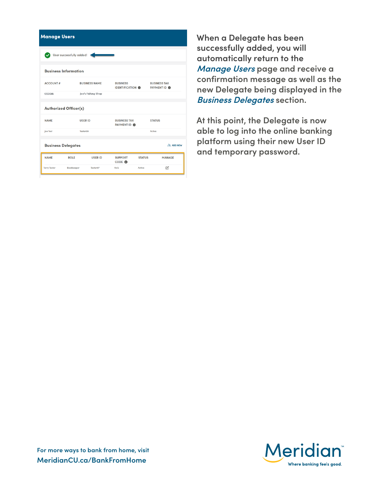| <b>Manage Users</b>          |                             |                      |                                            |               |                                            |
|------------------------------|-----------------------------|----------------------|--------------------------------------------|---------------|--------------------------------------------|
|                              | User successfully added!    |                      |                                            |               |                                            |
|                              | <b>Business Information</b> |                      |                                            |               |                                            |
| <b>ACCOUNT#</b>              |                             | <b>BUSINESS NAME</b> | <b>BUSINESS</b><br><b>IDENTIFICATION @</b> |               | <b>BUSINESS TAX</b><br>PAYMENT ID <b>O</b> |
| 1233618                      |                             | Joe's Fishing Shop   |                                            |               |                                            |
| <b>Authorized Officer(s)</b> |                             |                      |                                            |               |                                            |
| <b>NAME</b>                  | <b>USER ID</b>              |                      | <b>BUSINESS TAX</b><br>PAYMENT ID <b>O</b> |               | <b>STATUS</b>                              |
| loe Test                     | Tester99                    |                      |                                            |               | Active                                     |
| <b>Business Delegates</b>    |                             |                      |                                            |               | <b>28. ADD NEW</b>                         |
| <b>NAME</b>                  | <b>ROLE</b>                 | <b>USER ID</b>       | <b>SUPPORT</b><br>CODE O                   | <b>STATUS</b> | <b>MANAGE</b>                              |
| <b>Terry Tester</b>          | Bookkeeper                  | Tester97             | Ax12                                       | Active        | $\overline{\mathscr{O}}_1$                 |

**When a Delegate has been successfully added, you will automatically return to the Manage Users page and receive a confirmation message as well as the new Delegate being displayed in the Business Delegates section.**

**At this point, the Delegate is now able to log into the online banking platform using their new User ID and temporary password.**

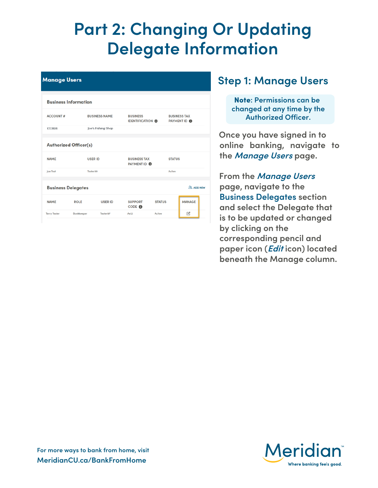### **Part 2: Changing Or Updating Delegate Information**

| <b>Manage Users</b>          |                             |                      |                                            |               |                                            |                    |  |
|------------------------------|-----------------------------|----------------------|--------------------------------------------|---------------|--------------------------------------------|--------------------|--|
|                              | <b>Business Information</b> |                      |                                            |               |                                            |                    |  |
| <b>ACCOUNT#</b>              |                             | <b>BUSINESS NAME</b> | <b>BUSINESS</b><br><b>IDENTIFICATION O</b> |               | <b>BUSINESS TAX</b><br>PAYMENT ID <b>O</b> |                    |  |
| 1233618                      |                             | Joe's Fishing Shop   |                                            |               |                                            |                    |  |
| <b>Authorized Officer(s)</b> |                             |                      |                                            |               |                                            |                    |  |
| <b>NAME</b>                  | <b>USER ID</b>              |                      | <b>BUSINESS TAX</b><br>PAYMENT ID <b>O</b> |               | <b>STATUS</b>                              |                    |  |
| Joe Test                     | Tester99                    |                      |                                            |               | Active                                     |                    |  |
|                              | <b>Business Delegates</b>   |                      |                                            |               |                                            | <b>28. ADD NEW</b> |  |
| <b>NAME</b>                  | <b>ROLE</b>                 | <b>USER ID</b>       | <b>SUPPORT</b><br>CODE O                   | <b>STATUS</b> |                                            | <b>MANAGE</b>      |  |
| <b>Terry Tester</b>          | Bookkeeper                  | Tester97             | Ax12                                       | Active        |                                            | $\mathcal{O}$      |  |

### **Step 1: Manage Users**

Note**: Permissions can be changed at any time by the Authorized Officer.**

**Once you have signed in to online banking, navigate to the Manage Users page.**

**From the Manage Users page, navigate to the Business Delegates section and select the Delegate that is to be updated or changed by clicking on the corresponding pencil and paper icon (Edit icon) located beneath the Manage column.**

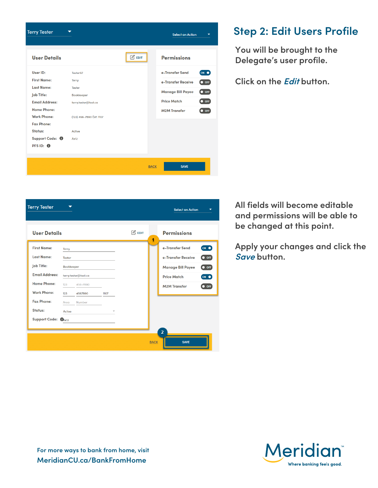

### **Step 2: Edit Users Profile**

**You will be brought to the Delegate's user profile.**

**Click on the Edit button.**

| All fields will become editable |
|---------------------------------|
| and permissions will be able to |
| be changed at this point.       |

**Apply your changes and click the Save button.**

| <b>User Details</b>   |               |                      |      |                        |                                           |
|-----------------------|---------------|----------------------|------|------------------------|-------------------------------------------|
|                       |               |                      |      | $\mathbb{Z}$ EDIT<br>1 | <b>Permissions</b>                        |
| <b>First Name:</b>    | Terry         |                      |      |                        | ON O<br>e-Transfer Send                   |
| <b>Last Name:</b>     | <b>Tester</b> |                      |      |                        | $\bullet$ OFF<br>e-Transfer Receive       |
| Job Title:            | Bookkeeper    |                      |      |                        | $\bullet$ OFF<br><b>Manage Bill Payee</b> |
| <b>Email Address:</b> |               | terry.tester@test.ca |      |                        | <b>Price Match</b><br>(ON O)              |
| <b>Home Phone:</b>    | 123           | 456-7890             |      |                        | <b>M2M Transfer</b><br>$\bullet$ OFF      |
| <b>Work Phone:</b>    | 123           | 4567890              | 1107 |                        |                                           |
| <b>Fax Phone:</b>     | Area          | Number               |      |                        |                                           |
| Status:               | Active        |                      |      |                        |                                           |
| Support Code: CAx12   |               |                      |      |                        |                                           |
|                       |               |                      |      |                        |                                           |
|                       |               |                      |      | <b>BACK</b>            | $\overline{2}$<br><b>SAVE</b>             |

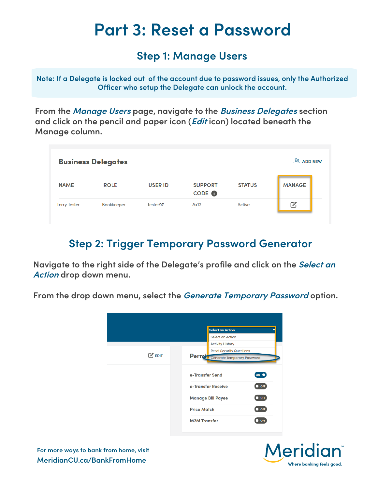### **Part 3: Reset a Password**

#### **Step 1: Manage Users**

**Note: If a Delegate is locked out of the account due to password issues, only the Authorized Officer who setup the Delegate can unlock the account.**

**From the Manage Users page, navigate to the Business Delegates section and click on the pencil and paper icon (Edit icon) located beneath the Manage column.**

| <b>ADD NEW</b><br><b>Business Delegates</b> |                   |                |                                     |               |                 |
|---------------------------------------------|-------------------|----------------|-------------------------------------|---------------|-----------------|
| <b>NAME</b>                                 | <b>ROLE</b>       | <b>USER ID</b> | <b>SUPPORT</b><br>CODE <sup>O</sup> | <b>STATUS</b> | <b>MANAGE</b>   |
| <b>Terry Tester</b>                         | <b>Bookkeeper</b> | Tester97       | Ax12                                | Active        | $\mathcal{O}_1$ |

### **Step 2: Trigger Temporary Password Generator**

**Navigate to the right side of the Delegate's profile and click on the Select an Action drop down menu.**

**From the drop down menu, select the Generate Temporary Password option.**



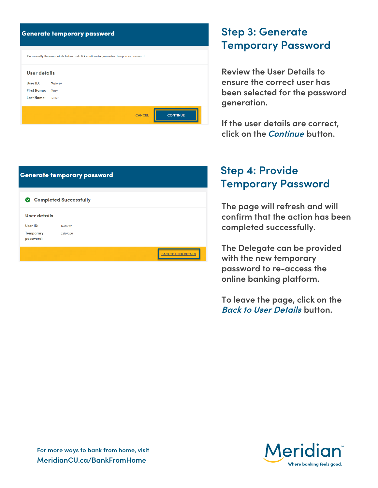|                     | <b>Generate temporary password</b>                                                        |
|---------------------|-------------------------------------------------------------------------------------------|
|                     | Please verify the user details below and click continue to generate a temporary password. |
| <b>User details</b> |                                                                                           |
| User ID:            | Tester97                                                                                  |
| <b>First Name:</b>  | <b>Terry</b>                                                                              |
| <b>Last Name:</b>   | <b>Tester</b>                                                                             |
|                     | <b>CONTINUE</b><br><b>CANCEL</b>                                                          |

| <b>Step 3: Generate</b> |                           |
|-------------------------|---------------------------|
|                         | <b>Temporary Password</b> |

**Review the User Details to ensure the correct user has been selected for the password generation.**

**If the user details are correct, click on the Continue button.**

| <b>Step 4: Provide</b>    |
|---------------------------|
| <b>Temporary Password</b> |

**The page will refresh and will confirm that the action has been completed successfully.**

**The Delegate can be provided with the new temporary password to re-access the online banking platform.**

**To leave the page, click on the Back to User Details button.**



|                               | <b>Generate temporary password</b> |                                    |
|-------------------------------|------------------------------------|------------------------------------|
| $\mathbf{\nabla}$             | <b>Completed Successfully</b>      |                                    |
| User details                  |                                    |                                    |
| User ID:                      | Tester97                           |                                    |
| <b>Temporary</b><br>password: | 82197258                           |                                    |
|                               |                                    | <b>USER DETAILS</b><br><b>BACK</b> |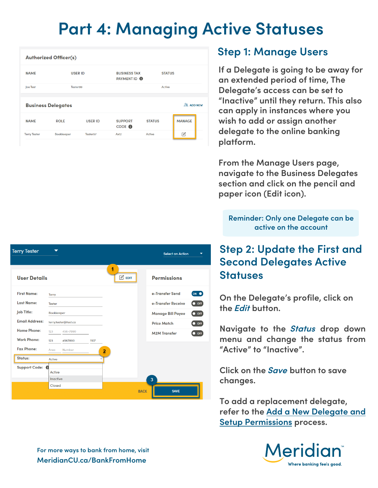### **Part 4: Managing Active Statuses**

| <b>Authorized Officer(s)</b> |                           |                |                                                             |               |                   |  |  |  |
|------------------------------|---------------------------|----------------|-------------------------------------------------------------|---------------|-------------------|--|--|--|
| <b>NAME</b>                  | <b>USER ID</b>            |                | <b>BUSINESS TAX</b><br><b>STATUS</b><br>PAYMENT ID <b>O</b> |               |                   |  |  |  |
| Joe Test                     | Tester99                  |                |                                                             | Active        |                   |  |  |  |
|                              |                           |                |                                                             |               |                   |  |  |  |
|                              | <b>Business Delegates</b> |                |                                                             |               | <b>AR ADD NEW</b> |  |  |  |
| <b>NAME</b>                  | <b>ROLE</b>               | <b>USER ID</b> | <b>SUPPORT</b><br>CODE <sup>O</sup>                         | <b>STATUS</b> | <b>MANAGE</b>     |  |  |  |
| <b>Terry Tester</b>          | <b>Bookkeeper</b>         | Tester97       | Ax12                                                        | Active        | $\mathbb{Z}$      |  |  |  |

#### **Step 1: Manage Users**

**If a Delegate is going to be away for an extended period of time, The Delegate's access can be set to "Inactive" until they return. This also can apply in instances where you wish to add or assign another delegate to the online banking platform.**

**From the Manage Users page, navigate to the Business Delegates section and click on the pencil and paper icon (Edit icon).**

**Reminder: Only one Delegate can be active on the account**

### **Step 2: Update the First and Second Delegates Active Statuses**

**On the Delegate's profile, click on the Edit button.**

**Navigate to the Status drop down menu and change the status from "Active" to "Inactive".**

**Click on the Save button to save changes.**

**To add a replacement delegate, refer to the Add a New Delegate and Setup Permissions process.**



| <b>Terry Tester</b>    | ⇁               |                      |      |                         |             | <b>Select an Action</b><br>▼              |
|------------------------|-----------------|----------------------|------|-------------------------|-------------|-------------------------------------------|
|                        |                 |                      |      | 1                       |             |                                           |
| <b>User Details</b>    |                 |                      |      | $\mathbb{Z}$ EDIT       |             | <b>Permissions</b>                        |
| <b>First Name:</b>     | <b>Terry</b>    |                      |      |                         |             | e-Transfer Send<br>ON O                   |
| <b>Last Name:</b>      | <b>Tester</b>   |                      |      |                         |             | e-Transfer Receive<br>$\bullet$ OFF       |
| <b>Job Title:</b>      | Bookkeeper      |                      |      |                         |             | $\bullet$ OFF<br><b>Manage Bill Payee</b> |
| <b>Email Address:</b>  |                 | terry.tester@test.ca |      |                         |             | $\bullet$ OFF<br><b>Price Match</b>       |
| <b>Home Phone:</b>     | 123             | 456-7890             |      |                         |             | $\bullet$ OFF<br><b>M2M Transfer</b>      |
| <b>Work Phone:</b>     | 123             | 4567890              | 1107 |                         |             |                                           |
| <b>Fax Phone:</b>      | Area            | Number               |      | $\overline{\mathbf{c}}$ |             |                                           |
| <b>Status:</b>         | Active          |                      |      |                         |             |                                           |
| Support Code: <b>6</b> | Active          |                      |      |                         |             |                                           |
|                        | <b>Inactive</b> |                      |      |                         |             | 3                                         |
|                        | Closed          |                      |      |                         |             |                                           |
|                        |                 |                      |      |                         | <b>BACK</b> | <b>SAVE</b>                               |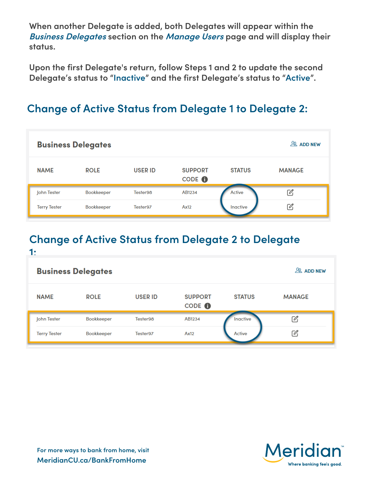**When another Delegate is added, both Delegates will appear within the Business Delegates section on the Manage Users page and will display their status.**

**Upon the first Delegate's return, follow Steps 1 and 2 to update the second Delegate's status to "Inactive" and the first Delegate's status to "Active".**

### **Change of Active Status from Delegate 1 to Delegate 2:**

| <b>Business Delegates</b> | $28$ ADD NEW      |                |                                     |               |                 |
|---------------------------|-------------------|----------------|-------------------------------------|---------------|-----------------|
| <b>NAME</b>               | <b>ROLE</b>       | <b>USER ID</b> | <b>SUPPORT</b><br>CODE <sup>O</sup> | <b>STATUS</b> | <b>MANAGE</b>   |
| John Tester               | <b>Bookkeeper</b> | Tester98       | AB1234                              | Active        | $\mathscr{O}_1$ |
| <b>Terry Tester</b>       | <b>Bookkeeper</b> | Tester97       | Ax12                                | Inactive      | Ø               |

#### **Change of Active Status from Delegate 2 to Delegate 1:**

| <b>Business Delegates</b> | $28$ ADD NEW      |                |                          |               |               |
|---------------------------|-------------------|----------------|--------------------------|---------------|---------------|
| <b>NAME</b>               | <b>ROLE</b>       | <b>USER ID</b> | <b>SUPPORT</b><br>CODE O | <b>STATUS</b> | <b>MANAGE</b> |
| John Tester               | <b>Bookkeeper</b> | Tester98       | AB1234                   | Inactive      | Ø             |
| <b>Terry Tester</b>       | <b>Bookkeeper</b> | Tester97       | Ax12                     | Active        | Ø             |